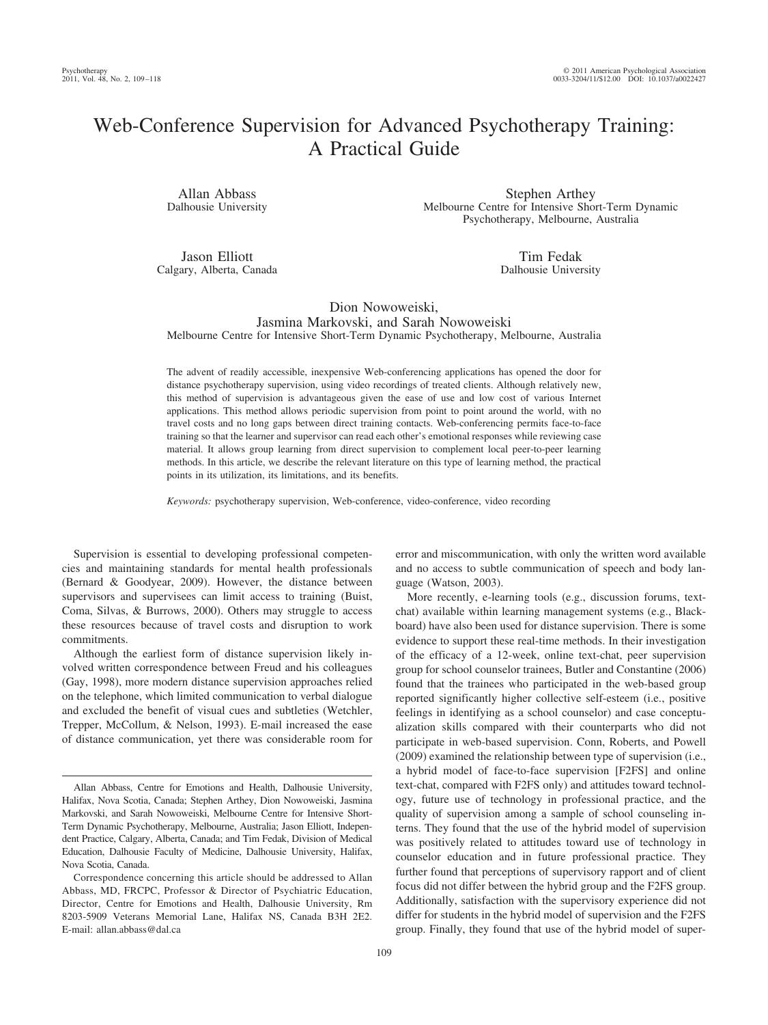# Web-Conference Supervision for Advanced Psychotherapy Training: A Practical Guide

Allan Abbass Dalhousie University

Stephen Arthey Melbourne Centre for Intensive Short-Term Dynamic Psychotherapy, Melbourne, Australia

Jason Elliott Calgary, Alberta, Canada

Tim Fedak Dalhousie University

# Dion Nowoweiski, Jasmina Markovski, and Sarah Nowoweiski Melbourne Centre for Intensive Short-Term Dynamic Psychotherapy, Melbourne, Australia

The advent of readily accessible, inexpensive Web-conferencing applications has opened the door for distance psychotherapy supervision, using video recordings of treated clients. Although relatively new, this method of supervision is advantageous given the ease of use and low cost of various Internet applications. This method allows periodic supervision from point to point around the world, with no travel costs and no long gaps between direct training contacts. Web-conferencing permits face-to-face training so that the learner and supervisor can read each other's emotional responses while reviewing case material. It allows group learning from direct supervision to complement local peer-to-peer learning methods. In this article, we describe the relevant literature on this type of learning method, the practical points in its utilization, its limitations, and its benefits.

guage (Watson, 2003).

*Keywords:* psychotherapy supervision, Web-conference, video-conference, video recording

Supervision is essential to developing professional competencies and maintaining standards for mental health professionals (Bernard & Goodyear, 2009). However, the distance between supervisors and supervisees can limit access to training (Buist, Coma, Silvas, & Burrows, 2000). Others may struggle to access these resources because of travel costs and disruption to work commitments.

Although the earliest form of distance supervision likely involved written correspondence between Freud and his colleagues (Gay, 1998), more modern distance supervision approaches relied on the telephone, which limited communication to verbal dialogue and excluded the benefit of visual cues and subtleties (Wetchler, Trepper, McCollum, & Nelson, 1993). E-mail increased the ease of distance communication, yet there was considerable room for

chat) available within learning management systems (e.g., Blackboard) have also been used for distance supervision. There is some evidence to support these real-time methods. In their investigation

error and miscommunication, with only the written word available and no access to subtle communication of speech and body lan-

More recently, e-learning tools (e.g., discussion forums, text-

of the efficacy of a 12-week, online text-chat, peer supervision group for school counselor trainees, Butler and Constantine (2006) found that the trainees who participated in the web-based group reported significantly higher collective self-esteem (i.e., positive feelings in identifying as a school counselor) and case conceptualization skills compared with their counterparts who did not participate in web-based supervision. Conn, Roberts, and Powell (2009) examined the relationship between type of supervision (i.e., a hybrid model of face-to-face supervision [F2FS] and online text-chat, compared with F2FS only) and attitudes toward technology, future use of technology in professional practice, and the quality of supervision among a sample of school counseling interns. They found that the use of the hybrid model of supervision was positively related to attitudes toward use of technology in counselor education and in future professional practice. They further found that perceptions of supervisory rapport and of client focus did not differ between the hybrid group and the F2FS group. Additionally, satisfaction with the supervisory experience did not differ for students in the hybrid model of supervision and the F2FS group. Finally, they found that use of the hybrid model of super-

Allan Abbass, Centre for Emotions and Health, Dalhousie University, Halifax, Nova Scotia, Canada; Stephen Arthey, Dion Nowoweiski, Jasmina Markovski, and Sarah Nowoweiski, Melbourne Centre for Intensive Short-Term Dynamic Psychotherapy, Melbourne, Australia; Jason Elliott, Independent Practice, Calgary, Alberta, Canada; and Tim Fedak, Division of Medical Education, Dalhousie Faculty of Medicine, Dalhousie University, Halifax, Nova Scotia, Canada.

Correspondence concerning this article should be addressed to Allan Abbass, MD, FRCPC, Professor & Director of Psychiatric Education, Director, Centre for Emotions and Health, Dalhousie University, Rm 8203-5909 Veterans Memorial Lane, Halifax NS, Canada B3H 2E2. E-mail: allan.abbass@dal.ca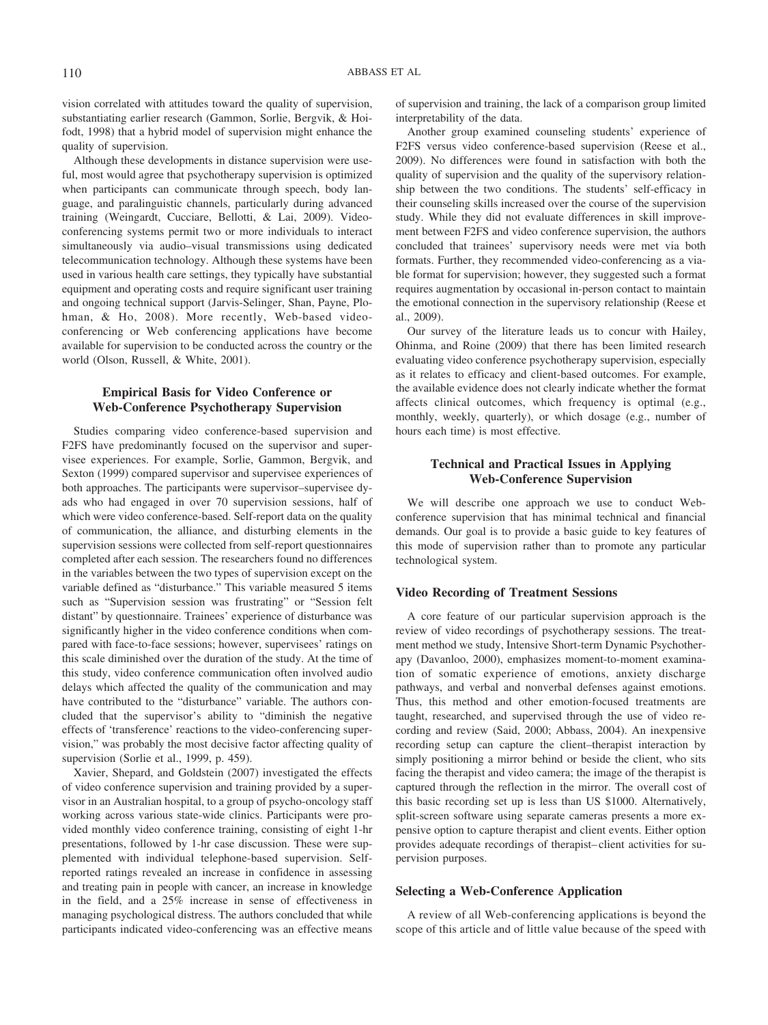vision correlated with attitudes toward the quality of supervision, substantiating earlier research (Gammon, Sorlie, Bergvik, & Hoifodt, 1998) that a hybrid model of supervision might enhance the quality of supervision.

Although these developments in distance supervision were useful, most would agree that psychotherapy supervision is optimized when participants can communicate through speech, body language, and paralinguistic channels, particularly during advanced training (Weingardt, Cucciare, Bellotti, & Lai, 2009). Videoconferencing systems permit two or more individuals to interact simultaneously via audio–visual transmissions using dedicated telecommunication technology. Although these systems have been used in various health care settings, they typically have substantial equipment and operating costs and require significant user training and ongoing technical support (Jarvis-Selinger, Shan, Payne, Plohman, & Ho, 2008). More recently, Web-based videoconferencing or Web conferencing applications have become available for supervision to be conducted across the country or the world (Olson, Russell, & White, 2001).

# **Empirical Basis for Video Conference or Web-Conference Psychotherapy Supervision**

Studies comparing video conference-based supervision and F2FS have predominantly focused on the supervisor and supervisee experiences. For example, Sorlie, Gammon, Bergvik, and Sexton (1999) compared supervisor and supervisee experiences of both approaches. The participants were supervisor–supervisee dyads who had engaged in over 70 supervision sessions, half of which were video conference-based. Self-report data on the quality of communication, the alliance, and disturbing elements in the supervision sessions were collected from self-report questionnaires completed after each session. The researchers found no differences in the variables between the two types of supervision except on the variable defined as "disturbance." This variable measured 5 items such as "Supervision session was frustrating" or "Session felt distant" by questionnaire. Trainees' experience of disturbance was significantly higher in the video conference conditions when compared with face-to-face sessions; however, supervisees' ratings on this scale diminished over the duration of the study. At the time of this study, video conference communication often involved audio delays which affected the quality of the communication and may have contributed to the "disturbance" variable. The authors concluded that the supervisor's ability to "diminish the negative effects of 'transference' reactions to the video-conferencing supervision," was probably the most decisive factor affecting quality of supervision (Sorlie et al., 1999, p. 459).

Xavier, Shepard, and Goldstein (2007) investigated the effects of video conference supervision and training provided by a supervisor in an Australian hospital, to a group of psycho-oncology staff working across various state-wide clinics. Participants were provided monthly video conference training, consisting of eight 1-hr presentations, followed by 1-hr case discussion. These were supplemented with individual telephone-based supervision. Selfreported ratings revealed an increase in confidence in assessing and treating pain in people with cancer, an increase in knowledge in the field, and a 25% increase in sense of effectiveness in managing psychological distress. The authors concluded that while participants indicated video-conferencing was an effective means of supervision and training, the lack of a comparison group limited interpretability of the data.

Another group examined counseling students' experience of F2FS versus video conference-based supervision (Reese et al., 2009). No differences were found in satisfaction with both the quality of supervision and the quality of the supervisory relationship between the two conditions. The students' self-efficacy in their counseling skills increased over the course of the supervision study. While they did not evaluate differences in skill improvement between F2FS and video conference supervision, the authors concluded that trainees' supervisory needs were met via both formats. Further, they recommended video-conferencing as a viable format for supervision; however, they suggested such a format requires augmentation by occasional in-person contact to maintain the emotional connection in the supervisory relationship (Reese et al., 2009).

Our survey of the literature leads us to concur with Hailey, Ohinma, and Roine (2009) that there has been limited research evaluating video conference psychotherapy supervision, especially as it relates to efficacy and client-based outcomes. For example, the available evidence does not clearly indicate whether the format affects clinical outcomes, which frequency is optimal (e.g., monthly, weekly, quarterly), or which dosage (e.g., number of hours each time) is most effective.

# **Technical and Practical Issues in Applying Web-Conference Supervision**

We will describe one approach we use to conduct Webconference supervision that has minimal technical and financial demands. Our goal is to provide a basic guide to key features of this mode of supervision rather than to promote any particular technological system.

# **Video Recording of Treatment Sessions**

A core feature of our particular supervision approach is the review of video recordings of psychotherapy sessions. The treatment method we study, Intensive Short-term Dynamic Psychotherapy (Davanloo, 2000), emphasizes moment-to-moment examination of somatic experience of emotions, anxiety discharge pathways, and verbal and nonverbal defenses against emotions. Thus, this method and other emotion-focused treatments are taught, researched, and supervised through the use of video recording and review (Said, 2000; Abbass, 2004). An inexpensive recording setup can capture the client–therapist interaction by simply positioning a mirror behind or beside the client, who sits facing the therapist and video camera; the image of the therapist is captured through the reflection in the mirror. The overall cost of this basic recording set up is less than US \$1000. Alternatively, split-screen software using separate cameras presents a more expensive option to capture therapist and client events. Either option provides adequate recordings of therapist– client activities for supervision purposes.

# **Selecting a Web-Conference Application**

A review of all Web-conferencing applications is beyond the scope of this article and of little value because of the speed with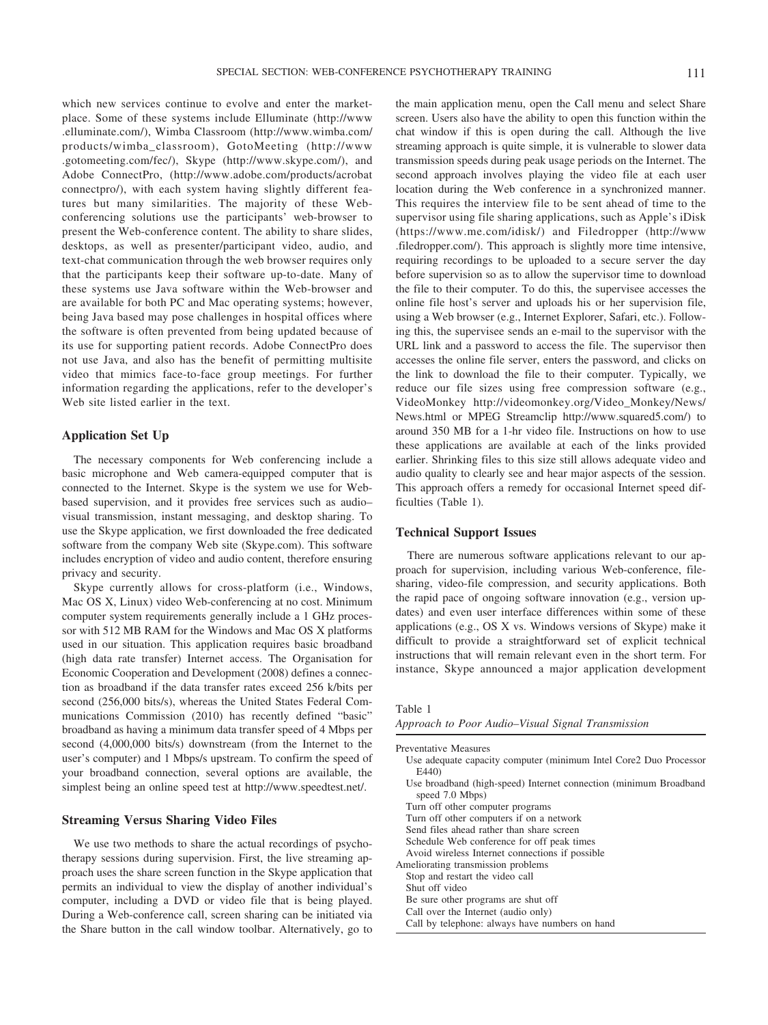which new services continue to evolve and enter the marketplace. Some of these systems include Elluminate (http://www .elluminate.com/), Wimba Classroom (http://www.wimba.com/ products/wimba\_classroom), GotoMeeting (http://www .gotomeeting.com/fec/), Skype (http://www.skype.com/), and Adobe ConnectPro, (http://www.adobe.com/products/acrobat connectpro/), with each system having slightly different features but many similarities. The majority of these Webconferencing solutions use the participants' web-browser to present the Web-conference content. The ability to share slides, desktops, as well as presenter/participant video, audio, and text-chat communication through the web browser requires only that the participants keep their software up-to-date. Many of these systems use Java software within the Web-browser and are available for both PC and Mac operating systems; however, being Java based may pose challenges in hospital offices where the software is often prevented from being updated because of its use for supporting patient records. Adobe ConnectPro does not use Java, and also has the benefit of permitting multisite video that mimics face-to-face group meetings. For further information regarding the applications, refer to the developer's Web site listed earlier in the text.

# **Application Set Up**

The necessary components for Web conferencing include a basic microphone and Web camera-equipped computer that is connected to the Internet. Skype is the system we use for Webbased supervision, and it provides free services such as audio– visual transmission, instant messaging, and desktop sharing. To use the Skype application, we first downloaded the free dedicated software from the company Web site (Skype.com). This software includes encryption of video and audio content, therefore ensuring privacy and security.

Skype currently allows for cross-platform (i.e., Windows, Mac OS X, Linux) video Web-conferencing at no cost. Minimum computer system requirements generally include a 1 GHz processor with 512 MB RAM for the Windows and Mac OS X platforms used in our situation. This application requires basic broadband (high data rate transfer) Internet access. The Organisation for Economic Cooperation and Development (2008) defines a connection as broadband if the data transfer rates exceed 256 k/bits per second (256,000 bits/s), whereas the United States Federal Communications Commission (2010) has recently defined "basic" broadband as having a minimum data transfer speed of 4 Mbps per second (4,000,000 bits/s) downstream (from the Internet to the user's computer) and 1 Mbps/s upstream. To confirm the speed of your broadband connection, several options are available, the simplest being an online speed test at http://www.speedtest.net/.

# **Streaming Versus Sharing Video Files**

We use two methods to share the actual recordings of psychotherapy sessions during supervision. First, the live streaming approach uses the share screen function in the Skype application that permits an individual to view the display of another individual's computer, including a DVD or video file that is being played. During a Web-conference call, screen sharing can be initiated via the Share button in the call window toolbar. Alternatively, go to the main application menu, open the Call menu and select Share screen. Users also have the ability to open this function within the chat window if this is open during the call. Although the live streaming approach is quite simple, it is vulnerable to slower data transmission speeds during peak usage periods on the Internet. The second approach involves playing the video file at each user location during the Web conference in a synchronized manner. This requires the interview file to be sent ahead of time to the supervisor using file sharing applications, such as Apple's iDisk (https://www.me.com/idisk/) and Filedropper (http://www .filedropper.com/). This approach is slightly more time intensive, requiring recordings to be uploaded to a secure server the day before supervision so as to allow the supervisor time to download the file to their computer. To do this, the supervisee accesses the online file host's server and uploads his or her supervision file, using a Web browser (e.g., Internet Explorer, Safari, etc.). Following this, the supervisee sends an e-mail to the supervisor with the URL link and a password to access the file. The supervisor then accesses the online file server, enters the password, and clicks on the link to download the file to their computer. Typically, we reduce our file sizes using free compression software (e.g., VideoMonkey http://videomonkey.org/Video\_Monkey/News/ News.html or MPEG Streamclip http://www.squared5.com/) to around 350 MB for a 1-hr video file. Instructions on how to use these applications are available at each of the links provided earlier. Shrinking files to this size still allows adequate video and audio quality to clearly see and hear major aspects of the session. This approach offers a remedy for occasional Internet speed difficulties (Table 1).

#### **Technical Support Issues**

There are numerous software applications relevant to our approach for supervision, including various Web-conference, filesharing, video-file compression, and security applications. Both the rapid pace of ongoing software innovation (e.g., version updates) and even user interface differences within some of these applications (e.g., OS X vs. Windows versions of Skype) make it difficult to provide a straightforward set of explicit technical instructions that will remain relevant even in the short term. For instance, Skype announced a major application development

#### Table 1

|  |  |  |  |  |  | Approach to Poor Audio-Visual Signal Transmission |  |  |
|--|--|--|--|--|--|---------------------------------------------------|--|--|
|--|--|--|--|--|--|---------------------------------------------------|--|--|

| Preventative Measures                                             |
|-------------------------------------------------------------------|
| Use adequate capacity computer (minimum Intel Core2 Duo Processor |
| E440)                                                             |
| Use broadband (high-speed) Internet connection (minimum Broadband |
| speed 7.0 Mbps)                                                   |
| Turn off other computer programs                                  |
| Turn off other computers if on a network                          |
| Send files ahead rather than share screen                         |
| Schedule Web conference for off peak times                        |
| Avoid wireless Internet connections if possible                   |
| Ameliorating transmission problems                                |
| Stop and restart the video call                                   |
| Shut off video                                                    |
| Be sure other programs are shut off                               |
| Call over the Internet (audio only)                               |
| Call by telephone: always have numbers on hand                    |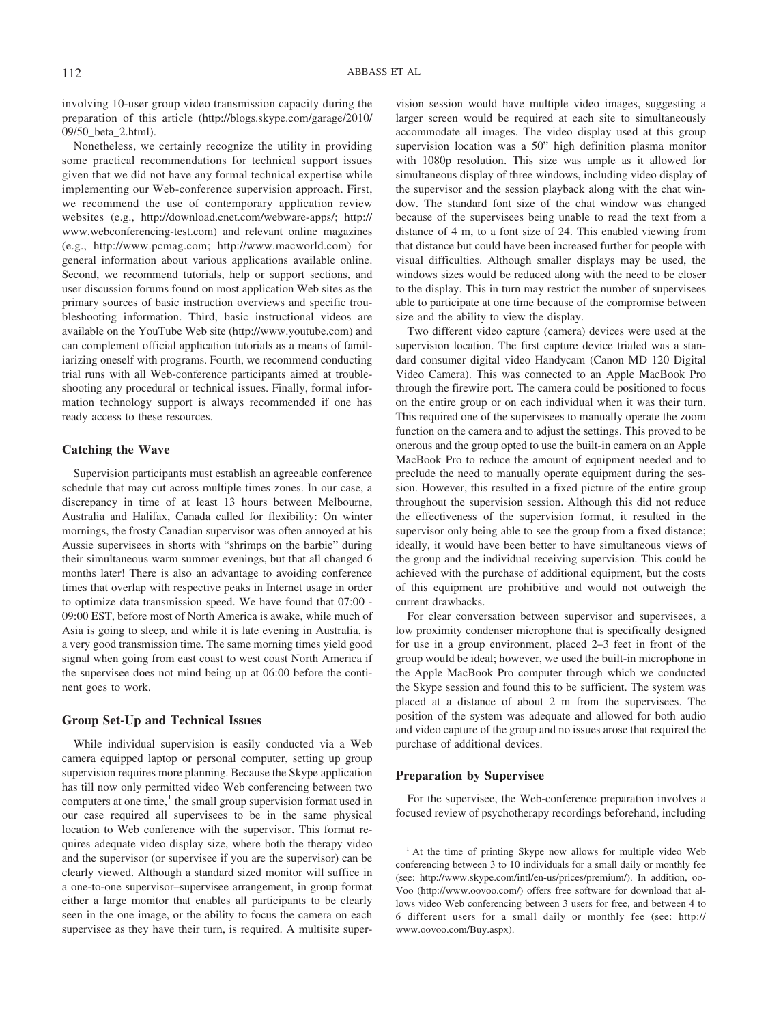involving 10-user group video transmission capacity during the preparation of this article (http://blogs.skype.com/garage/2010/ 09/50\_beta\_2.html).

Nonetheless, we certainly recognize the utility in providing some practical recommendations for technical support issues given that we did not have any formal technical expertise while implementing our Web-conference supervision approach. First, we recommend the use of contemporary application review websites (e.g., http://download.cnet.com/webware-apps/; http:// www.webconferencing-test.com) and relevant online magazines (e.g., http://www.pcmag.com; http://www.macworld.com) for general information about various applications available online. Second, we recommend tutorials, help or support sections, and user discussion forums found on most application Web sites as the primary sources of basic instruction overviews and specific troubleshooting information. Third, basic instructional videos are available on the YouTube Web site (http://www.youtube.com) and can complement official application tutorials as a means of familiarizing oneself with programs. Fourth, we recommend conducting trial runs with all Web-conference participants aimed at troubleshooting any procedural or technical issues. Finally, formal information technology support is always recommended if one has ready access to these resources.

# **Catching the Wave**

Supervision participants must establish an agreeable conference schedule that may cut across multiple times zones. In our case, a discrepancy in time of at least 13 hours between Melbourne, Australia and Halifax, Canada called for flexibility: On winter mornings, the frosty Canadian supervisor was often annoyed at his Aussie supervisees in shorts with "shrimps on the barbie" during their simultaneous warm summer evenings, but that all changed 6 months later! There is also an advantage to avoiding conference times that overlap with respective peaks in Internet usage in order to optimize data transmission speed. We have found that 07:00 - 09:00 EST, before most of North America is awake, while much of Asia is going to sleep, and while it is late evening in Australia, is a very good transmission time. The same morning times yield good signal when going from east coast to west coast North America if the supervisee does not mind being up at 06:00 before the continent goes to work.

#### **Group Set-Up and Technical Issues**

While individual supervision is easily conducted via a Web camera equipped laptop or personal computer, setting up group supervision requires more planning. Because the Skype application has till now only permitted video Web conferencing between two computers at one time, $<sup>1</sup>$  the small group supervision format used in</sup> our case required all supervisees to be in the same physical location to Web conference with the supervisor. This format requires adequate video display size, where both the therapy video and the supervisor (or supervisee if you are the supervisor) can be clearly viewed. Although a standard sized monitor will suffice in a one-to-one supervisor–supervisee arrangement, in group format either a large monitor that enables all participants to be clearly seen in the one image, or the ability to focus the camera on each supervisee as they have their turn, is required. A multisite super-

vision session would have multiple video images, suggesting a larger screen would be required at each site to simultaneously accommodate all images. The video display used at this group supervision location was a 50" high definition plasma monitor with 1080p resolution. This size was ample as it allowed for simultaneous display of three windows, including video display of the supervisor and the session playback along with the chat window. The standard font size of the chat window was changed because of the supervisees being unable to read the text from a distance of 4 m, to a font size of 24. This enabled viewing from that distance but could have been increased further for people with visual difficulties. Although smaller displays may be used, the windows sizes would be reduced along with the need to be closer to the display. This in turn may restrict the number of supervisees able to participate at one time because of the compromise between size and the ability to view the display.

Two different video capture (camera) devices were used at the supervision location. The first capture device trialed was a standard consumer digital video Handycam (Canon MD 120 Digital Video Camera). This was connected to an Apple MacBook Pro through the firewire port. The camera could be positioned to focus on the entire group or on each individual when it was their turn. This required one of the supervisees to manually operate the zoom function on the camera and to adjust the settings. This proved to be onerous and the group opted to use the built-in camera on an Apple MacBook Pro to reduce the amount of equipment needed and to preclude the need to manually operate equipment during the session. However, this resulted in a fixed picture of the entire group throughout the supervision session. Although this did not reduce the effectiveness of the supervision format, it resulted in the supervisor only being able to see the group from a fixed distance; ideally, it would have been better to have simultaneous views of the group and the individual receiving supervision. This could be achieved with the purchase of additional equipment, but the costs of this equipment are prohibitive and would not outweigh the current drawbacks.

For clear conversation between supervisor and supervisees, a low proximity condenser microphone that is specifically designed for use in a group environment, placed 2–3 feet in front of the group would be ideal; however, we used the built-in microphone in the Apple MacBook Pro computer through which we conducted the Skype session and found this to be sufficient. The system was placed at a distance of about 2 m from the supervisees. The position of the system was adequate and allowed for both audio and video capture of the group and no issues arose that required the purchase of additional devices.

# **Preparation by Supervisee**

For the supervisee, the Web-conference preparation involves a focused review of psychotherapy recordings beforehand, including

<sup>&</sup>lt;sup>1</sup> At the time of printing Skype now allows for multiple video Web conferencing between 3 to 10 individuals for a small daily or monthly fee (see: http://www.skype.com/intl/en-us/prices/premium/). In addition, oo-Voo (http://www.oovoo.com/) offers free software for download that allows video Web conferencing between 3 users for free, and between 4 to 6 different users for a small daily or monthly fee (see: http:// www.oovoo.com/Buy.aspx).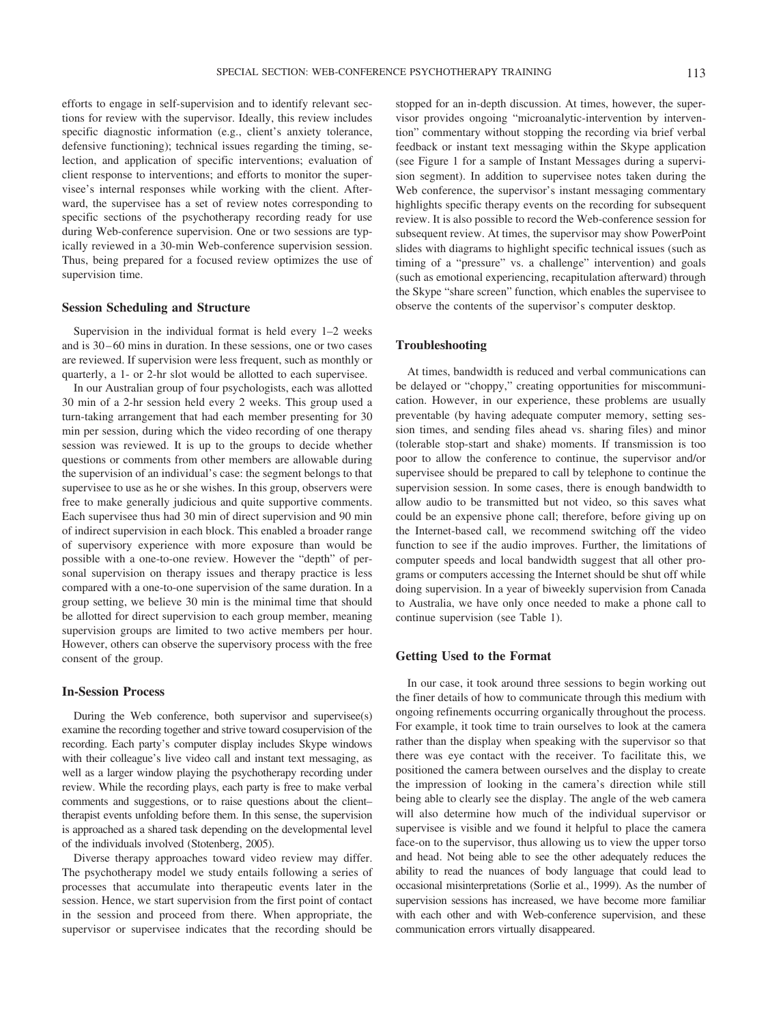efforts to engage in self-supervision and to identify relevant sections for review with the supervisor. Ideally, this review includes specific diagnostic information (e.g., client's anxiety tolerance, defensive functioning); technical issues regarding the timing, selection, and application of specific interventions; evaluation of client response to interventions; and efforts to monitor the supervisee's internal responses while working with the client. Afterward, the supervisee has a set of review notes corresponding to specific sections of the psychotherapy recording ready for use during Web-conference supervision. One or two sessions are typically reviewed in a 30-min Web-conference supervision session. Thus, being prepared for a focused review optimizes the use of supervision time.

# **Session Scheduling and Structure**

Supervision in the individual format is held every 1–2 weeks and is 30 – 60 mins in duration. In these sessions, one or two cases are reviewed. If supervision were less frequent, such as monthly or quarterly, a 1- or 2-hr slot would be allotted to each supervisee.

In our Australian group of four psychologists, each was allotted 30 min of a 2-hr session held every 2 weeks. This group used a turn-taking arrangement that had each member presenting for 30 min per session, during which the video recording of one therapy session was reviewed. It is up to the groups to decide whether questions or comments from other members are allowable during the supervision of an individual's case: the segment belongs to that supervisee to use as he or she wishes. In this group, observers were free to make generally judicious and quite supportive comments. Each supervisee thus had 30 min of direct supervision and 90 min of indirect supervision in each block. This enabled a broader range of supervisory experience with more exposure than would be possible with a one-to-one review. However the "depth" of personal supervision on therapy issues and therapy practice is less compared with a one-to-one supervision of the same duration. In a group setting, we believe 30 min is the minimal time that should be allotted for direct supervision to each group member, meaning supervision groups are limited to two active members per hour. However, others can observe the supervisory process with the free consent of the group.

# **In-Session Process**

During the Web conference, both supervisor and supervisee(s) examine the recording together and strive toward cosupervision of the recording. Each party's computer display includes Skype windows with their colleague's live video call and instant text messaging, as well as a larger window playing the psychotherapy recording under review. While the recording plays, each party is free to make verbal comments and suggestions, or to raise questions about the client– therapist events unfolding before them. In this sense, the supervision is approached as a shared task depending on the developmental level of the individuals involved (Stotenberg, 2005).

Diverse therapy approaches toward video review may differ. The psychotherapy model we study entails following a series of processes that accumulate into therapeutic events later in the session. Hence, we start supervision from the first point of contact in the session and proceed from there. When appropriate, the supervisor or supervisee indicates that the recording should be stopped for an in-depth discussion. At times, however, the supervisor provides ongoing "microanalytic-intervention by intervention" commentary without stopping the recording via brief verbal feedback or instant text messaging within the Skype application (see Figure 1 for a sample of Instant Messages during a supervision segment). In addition to supervisee notes taken during the Web conference, the supervisor's instant messaging commentary highlights specific therapy events on the recording for subsequent review. It is also possible to record the Web-conference session for subsequent review. At times, the supervisor may show PowerPoint slides with diagrams to highlight specific technical issues (such as timing of a "pressure" vs. a challenge" intervention) and goals (such as emotional experiencing, recapitulation afterward) through the Skype "share screen" function, which enables the supervisee to observe the contents of the supervisor's computer desktop.

# **Troubleshooting**

At times, bandwidth is reduced and verbal communications can be delayed or "choppy," creating opportunities for miscommunication. However, in our experience, these problems are usually preventable (by having adequate computer memory, setting session times, and sending files ahead vs. sharing files) and minor (tolerable stop-start and shake) moments. If transmission is too poor to allow the conference to continue, the supervisor and/or supervisee should be prepared to call by telephone to continue the supervision session. In some cases, there is enough bandwidth to allow audio to be transmitted but not video, so this saves what could be an expensive phone call; therefore, before giving up on the Internet-based call, we recommend switching off the video function to see if the audio improves. Further, the limitations of computer speeds and local bandwidth suggest that all other programs or computers accessing the Internet should be shut off while doing supervision. In a year of biweekly supervision from Canada to Australia, we have only once needed to make a phone call to continue supervision (see Table 1).

# **Getting Used to the Format**

In our case, it took around three sessions to begin working out the finer details of how to communicate through this medium with ongoing refinements occurring organically throughout the process. For example, it took time to train ourselves to look at the camera rather than the display when speaking with the supervisor so that there was eye contact with the receiver. To facilitate this, we positioned the camera between ourselves and the display to create the impression of looking in the camera's direction while still being able to clearly see the display. The angle of the web camera will also determine how much of the individual supervisor or supervisee is visible and we found it helpful to place the camera face-on to the supervisor, thus allowing us to view the upper torso and head. Not being able to see the other adequately reduces the ability to read the nuances of body language that could lead to occasional misinterpretations (Sorlie et al., 1999). As the number of supervision sessions has increased, we have become more familiar with each other and with Web-conference supervision, and these communication errors virtually disappeared.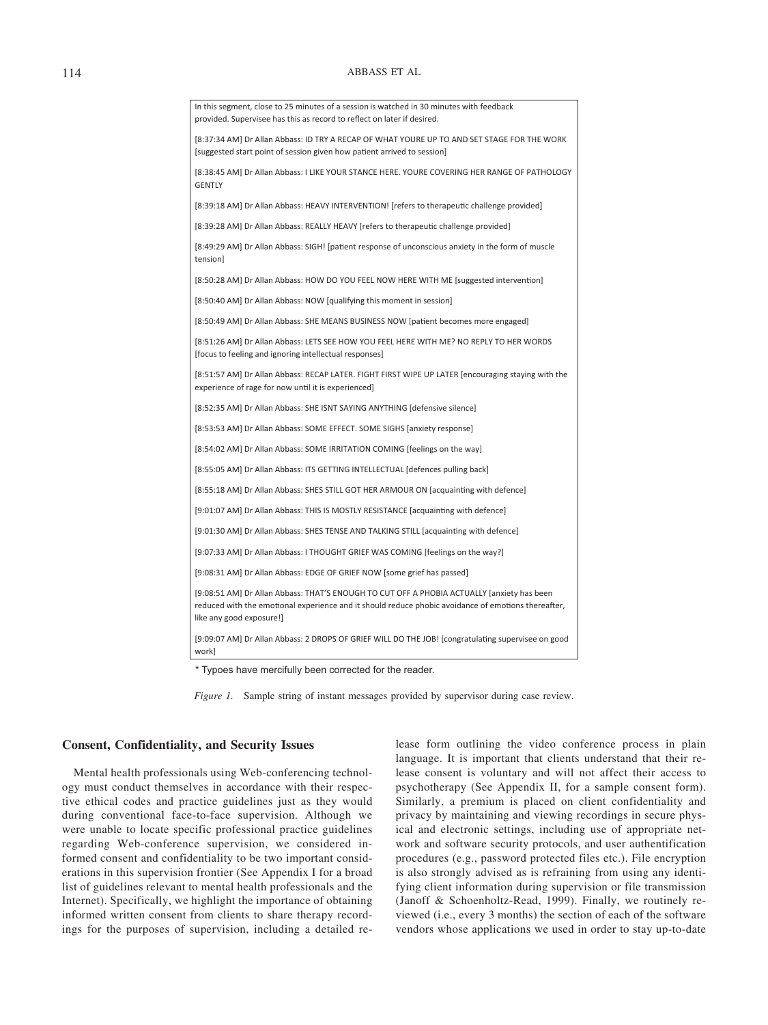# 114 ABBASS ET AL

| In this segment, close to 25 minutes of a session is watched in 30 minutes with feedback<br>provided. Supervisee has this as record to reflect on later if desired.                                                           |
|-------------------------------------------------------------------------------------------------------------------------------------------------------------------------------------------------------------------------------|
| [8:37:34 AM] Dr Allan Abbass: ID TRY A RECAP OF WHAT YOURE UP TO AND SET STAGE FOR THE WORK<br>[suggested start point of session given how patient arrived to session]                                                        |
| [8:38:45 AM] Dr Allan Abbass: I LIKE YOUR STANCE HERE. YOURE COVERING HER RANGE OF PATHOLOGY<br><b>GENTLY</b>                                                                                                                 |
| [8:39:18 AM] Dr Allan Abbass: HEAVY INTERVENTION! [refers to therapeutic challenge provided]                                                                                                                                  |
| [8:39:28 AM] Dr Allan Abbass: REALLY HEAVY [refers to therapeutic challenge provided]                                                                                                                                         |
| [8:49:29 AM] Dr Allan Abbass: SIGH! [patient response of unconscious anxiety in the form of muscle<br>tension]                                                                                                                |
| [8:50:28 AM] Dr Allan Abbass: HOW DO YOU FEEL NOW HERE WITH ME [suggested intervention]                                                                                                                                       |
| [8:50:40 AM] Dr Allan Abbass: NOW [qualifying this moment in session]                                                                                                                                                         |
| [8:50:49 AM] Dr Allan Abbass: SHE MEANS BUSINESS NOW [patient becomes more engaged]                                                                                                                                           |
| [8:51:26 AM] Dr Allan Abbass: LETS SEE HOW YOU FEEL HERE WITH ME? NO REPLY TO HER WORDS<br>[focus to feeling and ignoring intellectual responses]                                                                             |
| [8:51:57 AM] Dr Allan Abbass: RECAP LATER. FIGHT FIRST WIPE UP LATER [encouraging staying with the<br>experience of rage for now until it is experienced]                                                                     |
| [8:52:35 AM] Dr Allan Abbass: SHE ISNT SAYING ANYTHING [defensive silence]                                                                                                                                                    |
| [8:53:53 AM] Dr Allan Abbass: SOME EFFECT. SOME SIGHS [anxiety response]                                                                                                                                                      |
| [8:54:02 AM] Dr Allan Abbass: SOME IRRITATION COMING [feelings on the way]                                                                                                                                                    |
| [8:55:05 AM] Dr Allan Abbass: ITS GETTING INTELLECTUAL [defences pulling back]                                                                                                                                                |
| [8:55:18 AM] Dr Allan Abbass: SHES STILL GOT HER ARMOUR ON [acquainting with defence]                                                                                                                                         |
| [9:01:07 AM] Dr Allan Abbass: THIS IS MOSTLY RESISTANCE [acquainting with defence]                                                                                                                                            |
| [9:01:30 AM] Dr Allan Abbass: SHES TENSE AND TALKING STILL [acquainting with defence]                                                                                                                                         |
| [9:07:33 AM] Dr Allan Abbass: I THOUGHT GRIEF WAS COMING [feelings on the way?]                                                                                                                                               |
| [9:08:31 AM] Dr Allan Abbass: EDGE OF GRIEF NOW [some grief has passed]                                                                                                                                                       |
| [9:08:51 AM] Dr Allan Abbass: THAT'S ENOUGH TO CUT OFF A PHOBIA ACTUALLY [anxiety has been<br>reduced with the emotional experience and it should reduce phobic avoidance of emotions thereafter,<br>like any good exposure!] |
| [9:09:07 AM] Dr Allan Abbass: 2 DROPS OF GRIEF WILL DO THE JOB! [congratulating supervisee on good<br>work]                                                                                                                   |
|                                                                                                                                                                                                                               |

\* Typoes have mercifully been corrected for the reader.

*Figure 1.* Sample string of instant messages provided by supervisor during case review.

# **Consent, Confidentiality, and Security Issues**

Mental health professionals using Web-conferencing technology must conduct themselves in accordance with their respective ethical codes and practice guidelines just as they would during conventional face-to-face supervision. Although we were unable to locate specific professional practice guidelines regarding Web-conference supervision, we considered informed consent and confidentiality to be two important considerations in this supervision frontier (See Appendix I for a broad list of guidelines relevant to mental health professionals and the Internet). Specifically, we highlight the importance of obtaining informed written consent from clients to share therapy recordings for the purposes of supervision, including a detailed release form outlining the video conference process in plain language. It is important that clients understand that their release consent is voluntary and will not affect their access to psychotherapy (See Appendix II, for a sample consent form). Similarly, a premium is placed on client confidentiality and privacy by maintaining and viewing recordings in secure physical and electronic settings, including use of appropriate network and software security protocols, and user authentification procedures (e.g., password protected files etc.). File encryption is also strongly advised as is refraining from using any identifying client information during supervision or file transmission (Janoff & Schoenholtz-Read, 1999). Finally, we routinely reviewed (i.e., every 3 months) the section of each of the software vendors whose applications we used in order to stay up-to-date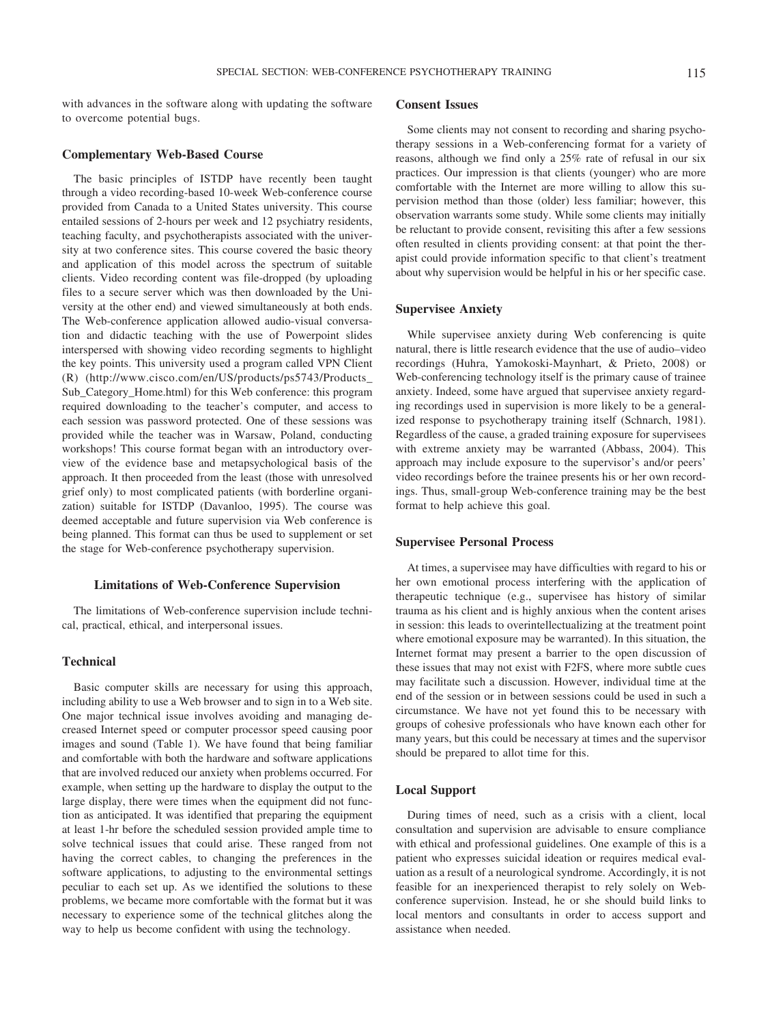with advances in the software along with updating the software to overcome potential bugs.

# **Complementary Web-Based Course**

The basic principles of ISTDP have recently been taught through a video recording-based 10-week Web-conference course provided from Canada to a United States university. This course entailed sessions of 2-hours per week and 12 psychiatry residents, teaching faculty, and psychotherapists associated with the university at two conference sites. This course covered the basic theory and application of this model across the spectrum of suitable clients. Video recording content was file-dropped (by uploading files to a secure server which was then downloaded by the University at the other end) and viewed simultaneously at both ends. The Web-conference application allowed audio-visual conversation and didactic teaching with the use of Powerpoint slides interspersed with showing video recording segments to highlight the key points. This university used a program called VPN Client (R) (http://www.cisco.com/en/US/products/ps5743/Products\_ Sub\_Category\_Home.html) for this Web conference: this program required downloading to the teacher's computer, and access to each session was password protected. One of these sessions was provided while the teacher was in Warsaw, Poland, conducting workshops! This course format began with an introductory overview of the evidence base and metapsychological basis of the approach. It then proceeded from the least (those with unresolved grief only) to most complicated patients (with borderline organization) suitable for ISTDP (Davanloo, 1995). The course was deemed acceptable and future supervision via Web conference is being planned. This format can thus be used to supplement or set the stage for Web-conference psychotherapy supervision.

#### **Limitations of Web-Conference Supervision**

The limitations of Web-conference supervision include technical, practical, ethical, and interpersonal issues.

# **Technical**

Basic computer skills are necessary for using this approach, including ability to use a Web browser and to sign in to a Web site. One major technical issue involves avoiding and managing decreased Internet speed or computer processor speed causing poor images and sound (Table 1). We have found that being familiar and comfortable with both the hardware and software applications that are involved reduced our anxiety when problems occurred. For example, when setting up the hardware to display the output to the large display, there were times when the equipment did not function as anticipated. It was identified that preparing the equipment at least 1-hr before the scheduled session provided ample time to solve technical issues that could arise. These ranged from not having the correct cables, to changing the preferences in the software applications, to adjusting to the environmental settings peculiar to each set up. As we identified the solutions to these problems, we became more comfortable with the format but it was necessary to experience some of the technical glitches along the way to help us become confident with using the technology.

# **Consent Issues**

Some clients may not consent to recording and sharing psychotherapy sessions in a Web-conferencing format for a variety of reasons, although we find only a 25% rate of refusal in our six practices. Our impression is that clients (younger) who are more comfortable with the Internet are more willing to allow this supervision method than those (older) less familiar; however, this observation warrants some study. While some clients may initially be reluctant to provide consent, revisiting this after a few sessions often resulted in clients providing consent: at that point the therapist could provide information specific to that client's treatment about why supervision would be helpful in his or her specific case.

#### **Supervisee Anxiety**

While supervisee anxiety during Web conferencing is quite natural, there is little research evidence that the use of audio–video recordings (Huhra, Yamokoski-Maynhart, & Prieto, 2008) or Web-conferencing technology itself is the primary cause of trainee anxiety. Indeed, some have argued that supervisee anxiety regarding recordings used in supervision is more likely to be a generalized response to psychotherapy training itself (Schnarch, 1981). Regardless of the cause, a graded training exposure for supervisees with extreme anxiety may be warranted (Abbass, 2004). This approach may include exposure to the supervisor's and/or peers' video recordings before the trainee presents his or her own recordings. Thus, small-group Web-conference training may be the best format to help achieve this goal.

#### **Supervisee Personal Process**

At times, a supervisee may have difficulties with regard to his or her own emotional process interfering with the application of therapeutic technique (e.g., supervisee has history of similar trauma as his client and is highly anxious when the content arises in session: this leads to overintellectualizing at the treatment point where emotional exposure may be warranted). In this situation, the Internet format may present a barrier to the open discussion of these issues that may not exist with F2FS, where more subtle cues may facilitate such a discussion. However, individual time at the end of the session or in between sessions could be used in such a circumstance. We have not yet found this to be necessary with groups of cohesive professionals who have known each other for many years, but this could be necessary at times and the supervisor should be prepared to allot time for this.

# **Local Support**

During times of need, such as a crisis with a client, local consultation and supervision are advisable to ensure compliance with ethical and professional guidelines. One example of this is a patient who expresses suicidal ideation or requires medical evaluation as a result of a neurological syndrome. Accordingly, it is not feasible for an inexperienced therapist to rely solely on Webconference supervision. Instead, he or she should build links to local mentors and consultants in order to access support and assistance when needed.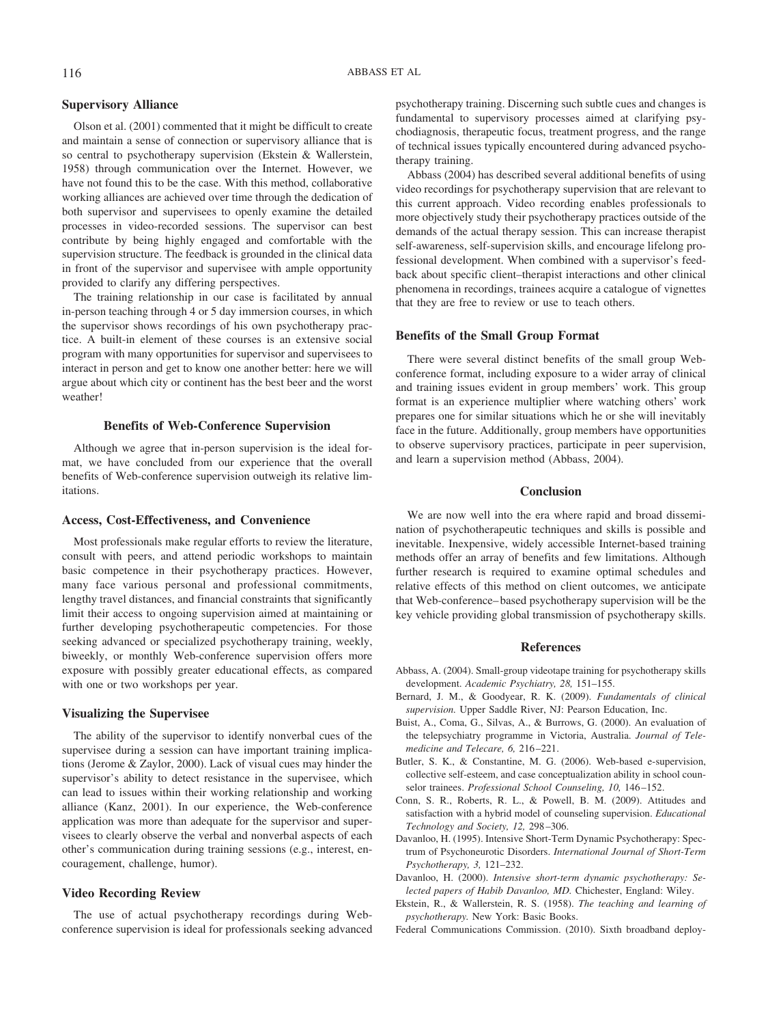# **Supervisory Alliance**

Olson et al. (2001) commented that it might be difficult to create and maintain a sense of connection or supervisory alliance that is so central to psychotherapy supervision (Ekstein & Wallerstein, 1958) through communication over the Internet. However, we have not found this to be the case. With this method, collaborative working alliances are achieved over time through the dedication of both supervisor and supervisees to openly examine the detailed processes in video-recorded sessions. The supervisor can best contribute by being highly engaged and comfortable with the supervision structure. The feedback is grounded in the clinical data in front of the supervisor and supervisee with ample opportunity provided to clarify any differing perspectives.

The training relationship in our case is facilitated by annual in-person teaching through 4 or 5 day immersion courses, in which the supervisor shows recordings of his own psychotherapy practice. A built-in element of these courses is an extensive social program with many opportunities for supervisor and supervisees to interact in person and get to know one another better: here we will argue about which city or continent has the best beer and the worst weather!

# **Benefits of Web-Conference Supervision**

Although we agree that in-person supervision is the ideal format, we have concluded from our experience that the overall benefits of Web-conference supervision outweigh its relative limitations.

# **Access, Cost-Effectiveness, and Convenience**

Most professionals make regular efforts to review the literature, consult with peers, and attend periodic workshops to maintain basic competence in their psychotherapy practices. However, many face various personal and professional commitments, lengthy travel distances, and financial constraints that significantly limit their access to ongoing supervision aimed at maintaining or further developing psychotherapeutic competencies. For those seeking advanced or specialized psychotherapy training, weekly, biweekly, or monthly Web-conference supervision offers more exposure with possibly greater educational effects, as compared with one or two workshops per year.

# **Visualizing the Supervisee**

The ability of the supervisor to identify nonverbal cues of the supervisee during a session can have important training implications (Jerome & Zaylor, 2000). Lack of visual cues may hinder the supervisor's ability to detect resistance in the supervisee, which can lead to issues within their working relationship and working alliance (Kanz, 2001). In our experience, the Web-conference application was more than adequate for the supervisor and supervisees to clearly observe the verbal and nonverbal aspects of each other's communication during training sessions (e.g., interest, encouragement, challenge, humor).

#### **Video Recording Review**

The use of actual psychotherapy recordings during Webconference supervision is ideal for professionals seeking advanced psychotherapy training. Discerning such subtle cues and changes is fundamental to supervisory processes aimed at clarifying psychodiagnosis, therapeutic focus, treatment progress, and the range of technical issues typically encountered during advanced psychotherapy training.

Abbass (2004) has described several additional benefits of using video recordings for psychotherapy supervision that are relevant to this current approach. Video recording enables professionals to more objectively study their psychotherapy practices outside of the demands of the actual therapy session. This can increase therapist self-awareness, self-supervision skills, and encourage lifelong professional development. When combined with a supervisor's feedback about specific client–therapist interactions and other clinical phenomena in recordings, trainees acquire a catalogue of vignettes that they are free to review or use to teach others.

# **Benefits of the Small Group Format**

There were several distinct benefits of the small group Webconference format, including exposure to a wider array of clinical and training issues evident in group members' work. This group format is an experience multiplier where watching others' work prepares one for similar situations which he or she will inevitably face in the future. Additionally, group members have opportunities to observe supervisory practices, participate in peer supervision, and learn a supervision method (Abbass, 2004).

# **Conclusion**

We are now well into the era where rapid and broad dissemination of psychotherapeutic techniques and skills is possible and inevitable. Inexpensive, widely accessible Internet-based training methods offer an array of benefits and few limitations. Although further research is required to examine optimal schedules and relative effects of this method on client outcomes, we anticipate that Web-conference– based psychotherapy supervision will be the key vehicle providing global transmission of psychotherapy skills.

#### **References**

- Abbass, A. (2004). Small-group videotape training for psychotherapy skills development. *Academic Psychiatry, 28,* 151–155.
- Bernard, J. M., & Goodyear, R. K. (2009). *Fundamentals of clinical supervision.* Upper Saddle River, NJ: Pearson Education, Inc.
- Buist, A., Coma, G., Silvas, A., & Burrows, G. (2000). An evaluation of the telepsychiatry programme in Victoria, Australia. *Journal of Telemedicine and Telecare, 6,* 216 –221.
- Butler, S. K., & Constantine, M. G. (2006). Web-based e-supervision, collective self-esteem, and case conceptualization ability in school counselor trainees. *Professional School Counseling, 10,* 146 –152.
- Conn, S. R., Roberts, R. L., & Powell, B. M. (2009). Attitudes and satisfaction with a hybrid model of counseling supervision. *Educational Technology and Society, 12,* 298 –306.
- Davanloo, H. (1995). Intensive Short-Term Dynamic Psychotherapy: Spectrum of Psychoneurotic Disorders. *International Journal of Short-Term Psychotherapy, 3,* 121–232.
- Davanloo, H. (2000). *Intensive short-term dynamic psychotherapy: Selected papers of Habib Davanloo, MD.* Chichester, England: Wiley.
- Ekstein, R., & Wallerstein, R. S. (1958). *The teaching and learning of psychotherapy.* New York: Basic Books.
- Federal Communications Commission. (2010). Sixth broadband deploy-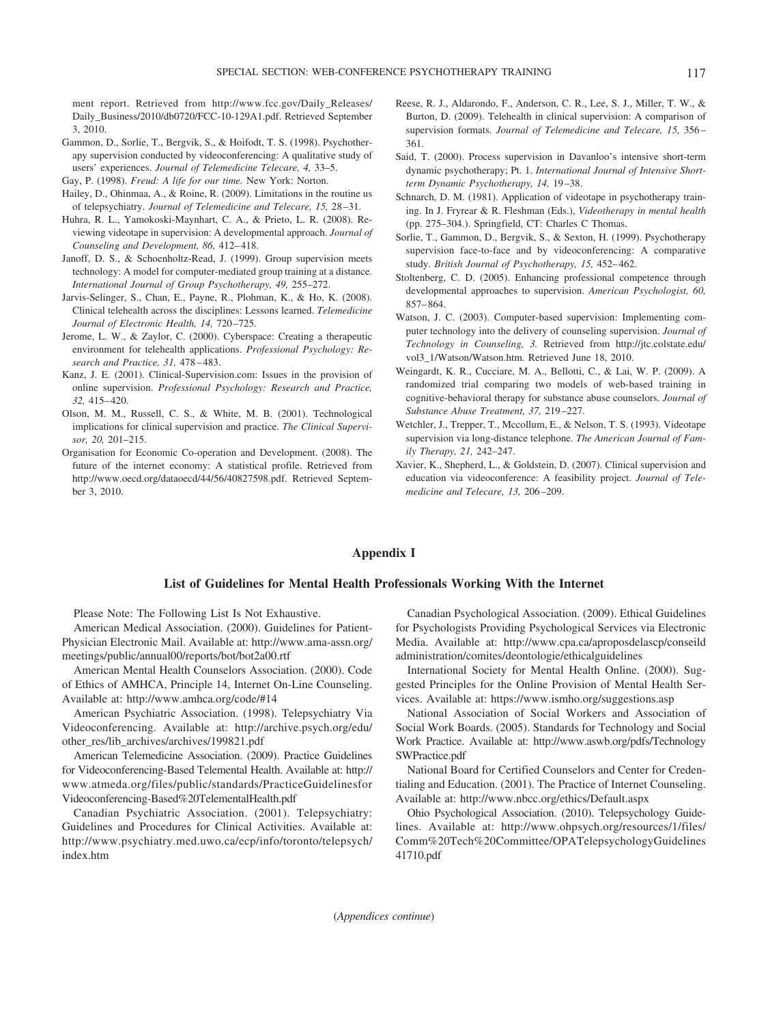ment report. Retrieved from http://www.fcc.gov/Daily\_Releases/ Daily\_Business/2010/db0720/FCC-10-129A1.pdf. Retrieved September 3, 2010.

- Gammon, D., Sorlie, T., Bergvik, S., & Hoifodt, T. S. (1998). Psychotherapy supervision conducted by videoconferencing: A qualitative study of users' experiences. *Journal of Telemedicine Telecare, 4,* 33–5.
- Gay, P. (1998). *Freud: A life for our time.* New York: Norton.
- Hailey, D., Ohinmaa, A., & Roine, R. (2009). Limitations in the routine us of telepsychiatry. *Journal of Telemedicine and Telecare, 15,* 28 –31.
- Huhra, R. L., Yamokoski-Maynhart, C. A., & Prieto, L. R. (2008). Reviewing videotape in supervision: A developmental approach. *Journal of Counseling and Development, 86,* 412– 418.
- Janoff, D. S., & Schoenholtz-Read, J. (1999). Group supervision meets technology: A model for computer-mediated group training at a distance. *International Journal of Group Psychotherapy, 49,* 255–272.
- Jarvis-Selinger, S., Chan, E., Payne, R., Plohman, K., & Ho, K. (2008). Clinical telehealth across the disciplines: Lessons learned. *Telemedicine Journal of Electronic Health, 14,* 720 –725.
- Jerome, L. W., & Zaylor, C. (2000). Cyberspace: Creating a therapeutic environment for telehealth applications. *Professional Psychology: Research and Practice, 31,* 478 – 483.
- Kanz, J. E. (2001). Clinical-Supervision.com: Issues in the provision of online supervision. *Professional Psychology: Research and Practice, 32,* 415– 420.
- Olson, M. M., Russell, C. S., & White, M. B. (2001). Technological implications for clinical supervision and practice. *The Clinical Supervisor, 20,* 201–215.
- Organisation for Economic Co-operation and Development. (2008). The future of the internet economy: A statistical profile. Retrieved from http://www.oecd.org/dataoecd/44/56/40827598.pdf. Retrieved September 3, 2010.
- Reese, R. J., Aldarondo, F., Anderson, C. R., Lee, S. J., Miller, T. W., & Burton, D. (2009). Telehealth in clinical supervision: A comparison of supervision formats. *Journal of Telemedicine and Telecare, 15,* 356 – 361.
- Said, T. (2000). Process supervision in Davanloo's intensive short-term dynamic psychotherapy; Pt. 1. *International Journal of Intensive Shortterm Dynamic Psychotherapy, 14,* 19 –38.
- Schnarch, D. M. (1981). Application of videotape in psychotherapy training. In J. Fryrear & R. Fleshman (Eds.), *Videotherapy in mental health* (pp. 275–304.). Springfield, CT: Charles C Thomas.
- Sorlie, T., Gammon, D., Bergvik, S., & Sexton, H. (1999). Psychotherapy supervision face-to-face and by videoconferencing: A comparative study. *British Journal of Psychotherapy, 15,* 452– 462.
- Stoltenberg, C. D. (2005). Enhancing professional competence through developmental approaches to supervision. *American Psychologist, 60,* 857– 864.
- Watson, J. C. (2003). Computer-based supervision: Implementing computer technology into the delivery of counseling supervision. *Journal of Technology in Counseling, 3.* Retrieved from http://jtc.colstate.edu/ vol3\_1/Watson/Watson.htm. Retrieved June 18, 2010.
- Weingardt, K. R., Cucciare, M. A., Bellotti, C., & Lai, W. P. (2009). A randomized trial comparing two models of web-based training in cognitive-behavioral therapy for substance abuse counselors. *Journal of Substance Abuse Treatment, 37,* 219 –227.
- Wetchler, J., Trepper, T., Mccollum, E., & Nelson, T. S. (1993). Videotape supervision via long-distance telephone. *The American Journal of Family Therapy, 21,* 242–247.
- Xavier, K., Shepherd, L., & Goldstein, D. (2007). Clinical supervision and education via videoconference: A feasibility project. *Journal of Telemedicine and Telecare, 13,* 206 –209.

# **Appendix I**

# **List of Guidelines for Mental Health Professionals Working With the Internet**

Please Note: The Following List Is Not Exhaustive.

American Medical Association. (2000). Guidelines for Patient-Physician Electronic Mail. Available at: http://www.ama-assn.org/ meetings/public/annual00/reports/bot/bot2a00.rtf

American Mental Health Counselors Association. (2000). Code of Ethics of AMHCA, Principle 14, Internet On-Line Counseling. Available at: http://www.amhca.org/code/#14

American Psychiatric Association. (1998). Telepsychiatry Via Videoconferencing. Available at: http://archive.psych.org/edu/ other\_res/lib\_archives/archives/199821.pdf

American Telemedicine Association. (2009). Practice Guidelines for Videoconferencing-Based Telemental Health. Available at: http:// www.atmeda.org/files/public/standards/PracticeGuidelinesfor Videoconferencing-Based%20TelementalHealth.pdf

Canadian Psychiatric Association. (2001). Telepsychiatry: Guidelines and Procedures for Clinical Activities. Available at: http://www.psychiatry.med.uwo.ca/ecp/info/toronto/telepsych/ index.htm

Canadian Psychological Association. (2009). Ethical Guidelines for Psychologists Providing Psychological Services via Electronic Media. Available at: http://www.cpa.ca/aproposdelascp/conseild administration/comites/deontologie/ethicalguidelines

International Society for Mental Health Online. (2000). Suggested Principles for the Online Provision of Mental Health Services. Available at: https://www.ismho.org/suggestions.asp

National Association of Social Workers and Association of Social Work Boards. (2005). Standards for Technology and Social Work Practice. Available at: http://www.aswb.org/pdfs/Technology SWPractice.pdf

National Board for Certified Counselors and Center for Credentialing and Education. (2001). The Practice of Internet Counseling. Available at: http://www.nbcc.org/ethics/Default.aspx

Ohio Psychological Association. (2010). Telepsychology Guidelines. Available at: http://www.ohpsych.org/resources/1/files/ Comm%20Tech%20Committee/OPATelepsychologyGuidelines 41710.pdf